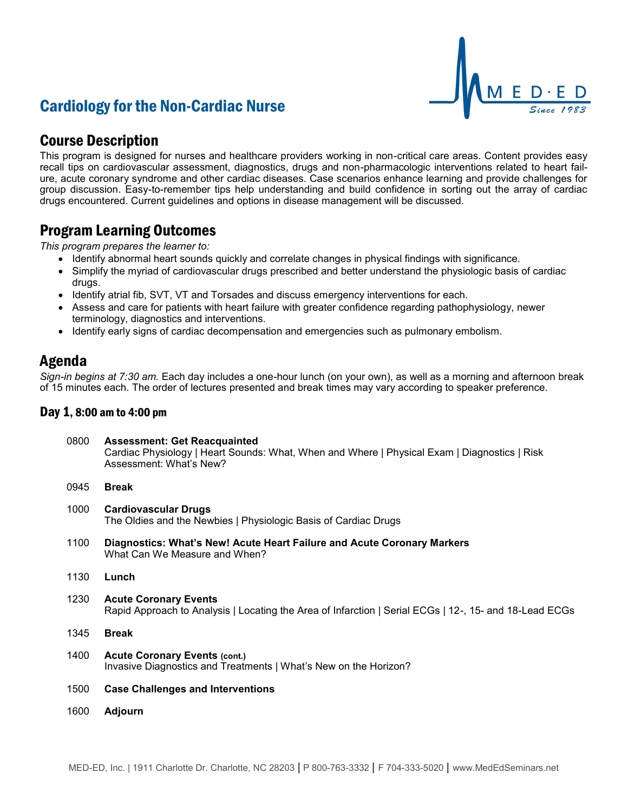# Cardiology for the Non-Cardiac Nurse



### Course Description

This program is designed for nurses and healthcare providers working in non-critical care areas. Content provides easy recall tips on cardiovascular assessment, diagnostics, drugs and non-pharmacologic interventions related to heart failure, acute coronary syndrome and other cardiac diseases. Case scenarios enhance learning and provide challenges for group discussion. Easy-to-remember tips help understanding and build confidence in sorting out the array of cardiac drugs encountered. Current guidelines and options in disease management will be discussed.

### Program Learning Outcomes

*This program prepares the learner to:*

- Identify abnormal heart sounds quickly and correlate changes in physical findings with significance.
- Simplify the myriad of cardiovascular drugs prescribed and better understand the physiologic basis of cardiac drugs.
- Identify atrial fib, SVT, VT and Torsades and discuss emergency interventions for each.
- Assess and care for patients with heart failure with greater confidence regarding pathophysiology, newer terminology, diagnostics and interventions.
- Identify early signs of cardiac decompensation and emergencies such as pulmonary embolism.

### Agenda

*Sign-in begins at 7:30 am.* Each day includes a one-hour lunch (on your own), as well as a morning and afternoon break of 15 minutes each. The order of lectures presented and break times may vary according to speaker preference.

### Day 1, 8:00 am to 4:00 pm

| 0800 | <b>Assessment: Get Reacquainted</b><br>Cardiac Physiology   Heart Sounds: What, When and Where   Physical Exam   Diagnostics   Risk<br>Assessment: What's New? |
|------|----------------------------------------------------------------------------------------------------------------------------------------------------------------|
| 0945 | <b>Break</b>                                                                                                                                                   |
| 1000 | <b>Cardiovascular Drugs</b><br>The Oldies and the Newbies   Physiologic Basis of Cardiac Drugs                                                                 |
| 1100 | Diagnostics: What's New! Acute Heart Failure and Acute Coronary Markers<br>What Can We Measure and When?                                                       |
| 1130 | Lunch                                                                                                                                                          |
| 1230 | <b>Acute Coronary Events</b><br>Rapid Approach to Analysis   Locating the Area of Infarction   Serial ECGs   12-, 15- and 18-Lead ECGs                         |
| 1345 | <b>Break</b>                                                                                                                                                   |

- 1400 **Acute Coronary Events (cont.)** Invasive Diagnostics and Treatments | What's New on the Horizon?
- 1500 **Case Challenges and Interventions**
- 1600 **Adjourn**